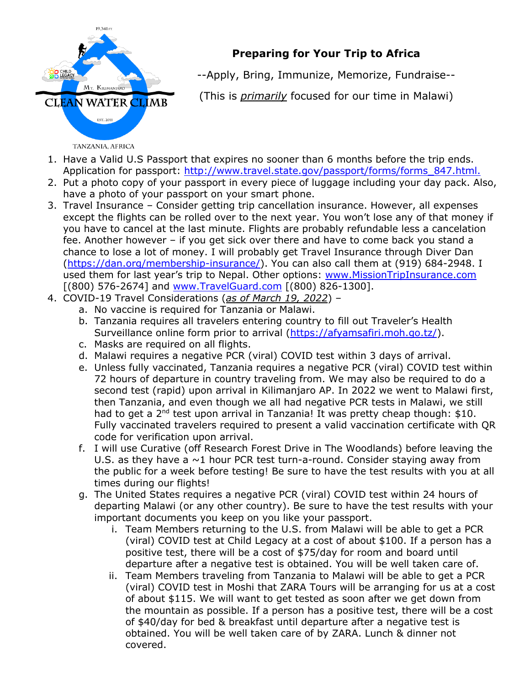

## **Preparing for Your Trip to Africa**

--Apply, Bring, Immunize, Memorize, Fundraise--

(This is *primarily* focused for our time in Malawi)

- 1. Have a Valid U.S Passport that expires no sooner than 6 months before the trip ends. Application for passport: http://www.travel.state.gov/passport/forms/forms 847.html.
- 2. Put a photo copy of your passport in every piece of luggage including your day pack. Also, have a photo of your passport on your smart phone.
- 3. Travel Insurance Consider getting trip cancellation insurance. However, all expenses except the flights can be rolled over to the next year. You won't lose any of that money if you have to cancel at the last minute. Flights are probably refundable less a cancelation fee. Another however – if you get sick over there and have to come back you stand a chance to lose a lot of money. I will probably get Travel Insurance through Diver Dan (https://dan.org/membership-insurance/). You can also call them at (919) 684-2948. I used them for last year's trip to Nepal. Other options: www.MissionTripInsurance.com [(800) 576-2674] and www.TravelGuard.com [(800) 826-1300].
- 4. COVID-19 Travel Considerations (*as of March 19, 2022*)
	- a. No vaccine is required for Tanzania or Malawi.
	- b. Tanzania requires all travelers entering country to fill out Traveler's Health Surveillance online form prior to arrival (https://afyamsafiri.moh.go.tz/).
	- c. Masks are required on all flights.
	- d. Malawi requires a negative PCR (viral) COVID test within 3 days of arrival.
	- e. Unless fully vaccinated, Tanzania requires a negative PCR (viral) COVID test within 72 hours of departure in country traveling from. We may also be required to do a second test (rapid) upon arrival in Kilimanjaro AP. In 2022 we went to Malawi first, then Tanzania, and even though we all had negative PCR tests in Malawi, we still had to get a 2<sup>nd</sup> test upon arrival in Tanzania! It was pretty cheap though: \$10. Fully vaccinated travelers required to present a valid vaccination certificate with QR code for verification upon arrival.
	- f. I will use Curative (off Research Forest Drive in The Woodlands) before leaving the U.S. as they have a  $\sim$ 1 hour PCR test turn-a-round. Consider staying away from the public for a week before testing! Be sure to have the test results with you at all times during our flights!
	- g. The United States requires a negative PCR (viral) COVID test within 24 hours of departing Malawi (or any other country). Be sure to have the test results with your important documents you keep on you like your passport.
		- i. Team Members returning to the U.S. from Malawi will be able to get a PCR (viral) COVID test at Child Legacy at a cost of about \$100. If a person has a positive test, there will be a cost of \$75/day for room and board until departure after a negative test is obtained. You will be well taken care of.
		- ii. Team Members traveling from Tanzania to Malawi will be able to get a PCR (viral) COVID test in Moshi that ZARA Tours will be arranging for us at a cost of about \$115. We will want to get tested as soon after we get down from the mountain as possible. If a person has a positive test, there will be a cost of \$40/day for bed & breakfast until departure after a negative test is obtained. You will be well taken care of by ZARA. Lunch & dinner not covered.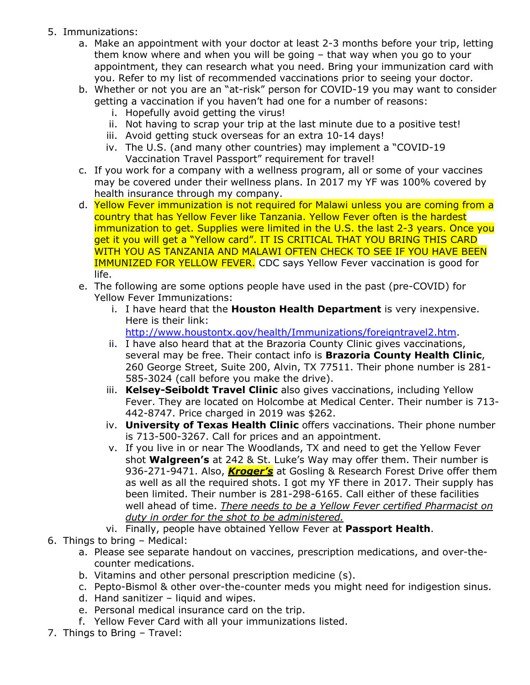- 5. Immunizations:
	- a. Make an appointment with your doctor at least 2-3 months before your trip, letting them know where and when you will be going – that way when you go to your appointment, they can research what you need. Bring your immunization card with you. Refer to my list of recommended vaccinations prior to seeing your doctor.
	- b. Whether or not you are an "at-risk" person for COVID-19 you may want to consider getting a vaccination if you haven't had one for a number of reasons:
		- i. Hopefully avoid getting the virus!
		- ii. Not having to scrap your trip at the last minute due to a positive test!
		- iii. Avoid getting stuck overseas for an extra 10-14 days!
		- iv. The U.S. (and many other countries) may implement a "COVID-19 Vaccination Travel Passport" requirement for travel!
	- c. If you work for a company with a wellness program, all or some of your vaccines may be covered under their wellness plans. In 2017 my YF was 100% covered by health insurance through my company.
	- d. Yellow Fever immunization is not required for Malawi unless you are coming from a country that has Yellow Fever like Tanzania. Yellow Fever often is the hardest immunization to get. Supplies were limited in the U.S. the last 2-3 years. Once you get it you will get a "Yellow card". IT IS CRITICAL THAT YOU BRING THIS CARD WITH YOU AS TANZANIA AND MALAWI OFTEN CHECK TO SEE IF YOU HAVE BEEN IMMUNIZED FOR YELLOW FEVER. CDC says Yellow Fever vaccination is good for life.
	- e. The following are some options people have used in the past (pre-COVID) for Yellow Fever Immunizations:
		- i. I have heard that the **Houston Health Department** is very inexpensive. Here is their link:
			- http://www.houstontx.gov/health/Immunizations/foreigntravel2.htm.
		- ii. I have also heard that at the Brazoria County Clinic gives vaccinations, several may be free. Their contact info is **Brazoria County Health Clinic**, 260 George Street, Suite 200, Alvin, TX 77511. Their phone number is 281- 585-3024 (call before you make the drive).
		- iii. **Kelsey-Seiboldt Travel Clinic** also gives vaccinations, including Yellow Fever. They are located on Holcombe at Medical Center. Their number is 713- 442-8747. Price charged in 2019 was \$262.
		- iv. **University of Texas Health Clinic** offers vaccinations. Their phone number is 713-500-3267. Call for prices and an appointment.
		- v. If you live in or near The Woodlands, TX and need to get the Yellow Fever shot **Walgreen's** at 242 & St. Luke's Way may offer them. Their number is 936-271-9471. Also, *Kroger's* at Gosling & Research Forest Drive offer them as well as all the required shots. I got my YF there in 2017. Their supply has been limited. Their number is 281-298-6165. Call either of these facilities well ahead of time. *There needs to be a Yellow Fever certified Pharmacist on duty in order for the shot to be administered.*
		- vi. Finally, people have obtained Yellow Fever at **Passport Health**.
- 6. Things to bring Medical:
	- a. Please see separate handout on vaccines, prescription medications, and over-thecounter medications.
	- b. Vitamins and other personal prescription medicine (s).
	- c. Pepto-Bismol & other over-the-counter meds you might need for indigestion sinus.
	- d. Hand sanitizer liquid and wipes.
	- e. Personal medical insurance card on the trip.
	- f. Yellow Fever Card with all your immunizations listed.
- 7. Things to Bring Travel: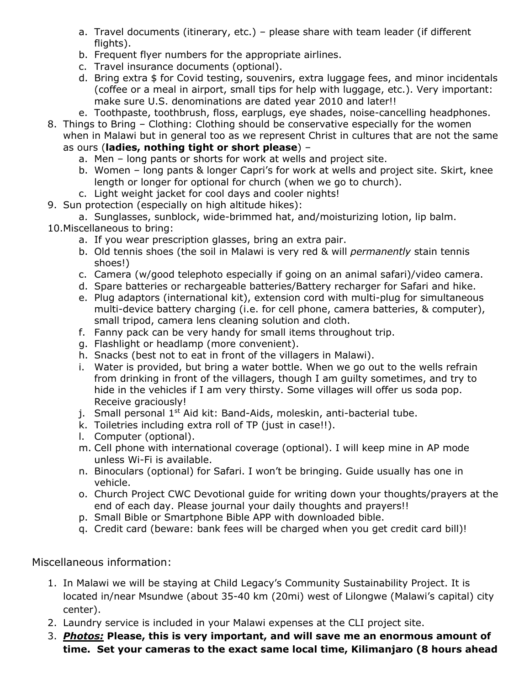- a. Travel documents (itinerary, etc.) please share with team leader (if different flights).
- b. Frequent flyer numbers for the appropriate airlines.
- c. Travel insurance documents (optional).
- d. Bring extra \$ for Covid testing, souvenirs, extra luggage fees, and minor incidentals (coffee or a meal in airport, small tips for help with luggage, etc.). Very important: make sure U.S. denominations are dated year 2010 and later!!
- e. Toothpaste, toothbrush, floss, earplugs, eye shades, noise-cancelling headphones.
- 8. Things to Bring Clothing: Clothing should be conservative especially for the women when in Malawi but in general too as we represent Christ in cultures that are not the same as ours (**ladies, nothing tight or short please**) –
	- a. Men long pants or shorts for work at wells and project site.
	- b. Women long pants & longer Capri's for work at wells and project site. Skirt, knee length or longer for optional for church (when we go to church).
	- c. Light weight jacket for cool days and cooler nights!
- 9. Sun protection (especially on high altitude hikes):
- a. Sunglasses, sunblock, wide-brimmed hat, and/moisturizing lotion, lip balm. 10.Miscellaneous to bring:
	- a. If you wear prescription glasses, bring an extra pair.
	- b. Old tennis shoes (the soil in Malawi is very red & will *permanently* stain tennis shoes!)
	- c. Camera (w/good telephoto especially if going on an animal safari)/video camera.
	- d. Spare batteries or rechargeable batteries/Battery recharger for Safari and hike.
	- e. Plug adaptors (international kit), extension cord with multi-plug for simultaneous multi-device battery charging (i.e. for cell phone, camera batteries, & computer), small tripod, camera lens cleaning solution and cloth.
	- f. Fanny pack can be very handy for small items throughout trip.
	- g. Flashlight or headlamp (more convenient).
	- h. Snacks (best not to eat in front of the villagers in Malawi).
	- i. Water is provided, but bring a water bottle. When we go out to the wells refrain from drinking in front of the villagers, though I am guilty sometimes, and try to hide in the vehicles if I am very thirsty. Some villages will offer us soda pop. Receive graciously!
	- j. Small personal 1<sup>st</sup> Aid kit: Band-Aids, moleskin, anti-bacterial tube.
	- k. Toiletries including extra roll of TP (just in case!!).
	- l. Computer (optional).
	- m. Cell phone with international coverage (optional). I will keep mine in AP mode unless Wi-Fi is available.
	- n. Binoculars (optional) for Safari. I won't be bringing. Guide usually has one in vehicle.
	- o. Church Project CWC Devotional guide for writing down your thoughts/prayers at the end of each day. Please journal your daily thoughts and prayers!!
	- p. Small Bible or Smartphone Bible APP with downloaded bible.
	- q. Credit card (beware: bank fees will be charged when you get credit card bill)!

## Miscellaneous information:

- 1. In Malawi we will be staying at Child Legacy's Community Sustainability Project. It is located in/near Msundwe (about 35-40 km (20mi) west of Lilongwe (Malawi's capital) city center).
- 2. Laundry service is included in your Malawi expenses at the CLI project site.
- 3. *Photos:* **Please, this is very important, and will save me an enormous amount of time. Set your cameras to the exact same local time, Kilimanjaro (8 hours ahead**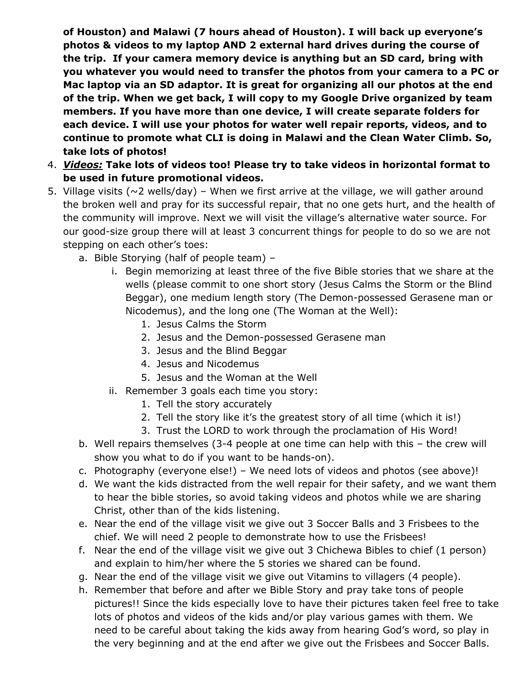**of Houston) and Malawi (7 hours ahead of Houston). I will back up everyone's photos & videos to my laptop AND 2 external hard drives during the course of the trip. If your camera memory device is anything but an SD card, bring with you whatever you would need to transfer the photos from your camera to a PC or Mac laptop via an SD adaptor. It is great for organizing all our photos at the end of the trip. When we get back, I will copy to my Google Drive organized by team members. If you have more than one device, I will create separate folders for each device. I will use your photos for water well repair reports, videos, and to continue to promote what CLI is doing in Malawi and the Clean Water Climb. So, take lots of photos!**

- 4. *Videos:* **Take lots of videos too! Please try to take videos in horizontal format to be used in future promotional videos.**
- 5. Village visits ( $\sim$ 2 wells/day) When we first arrive at the village, we will gather around the broken well and pray for its successful repair, that no one gets hurt, and the health of the community will improve. Next we will visit the village's alternative water source. For our good-size group there will at least 3 concurrent things for people to do so we are not stepping on each other's toes:
	- a. Bible Storying (half of people team)
		- i. Begin memorizing at least three of the five Bible stories that we share at the wells (please commit to one short story (Jesus Calms the Storm or the Blind Beggar), one medium length story (The Demon-possessed Gerasene man or Nicodemus), and the long one (The Woman at the Well):
			- 1. Jesus Calms the Storm
			- 2. Jesus and the Demon-possessed Gerasene man
			- 3. Jesus and the Blind Beggar
			- 4. Jesus and Nicodemus
			- 5. Jesus and the Woman at the Well
		- ii. Remember 3 goals each time you story:
			- 1. Tell the story accurately
			- 2. Tell the story like it's the greatest story of all time (which it is!)
			- 3. Trust the LORD to work through the proclamation of His Word!
	- b. Well repairs themselves (3-4 people at one time can help with this the crew will show you what to do if you want to be hands-on).
	- c. Photography (everyone else!) We need lots of videos and photos (see above)!
	- d. We want the kids distracted from the well repair for their safety, and we want them to hear the bible stories, so avoid taking videos and photos while we are sharing Christ, other than of the kids listening.
	- e. Near the end of the village visit we give out 3 Soccer Balls and 3 Frisbees to the chief. We will need 2 people to demonstrate how to use the Frisbees!
	- f. Near the end of the village visit we give out 3 Chichewa Bibles to chief (1 person) and explain to him/her where the 5 stories we shared can be found.
	- g. Near the end of the village visit we give out Vitamins to villagers (4 people).
	- h. Remember that before and after we Bible Story and pray take tons of people pictures!! Since the kids especially love to have their pictures taken feel free to take lots of photos and videos of the kids and/or play various games with them. We need to be careful about taking the kids away from hearing God's word, so play in the very beginning and at the end after we give out the Frisbees and Soccer Balls.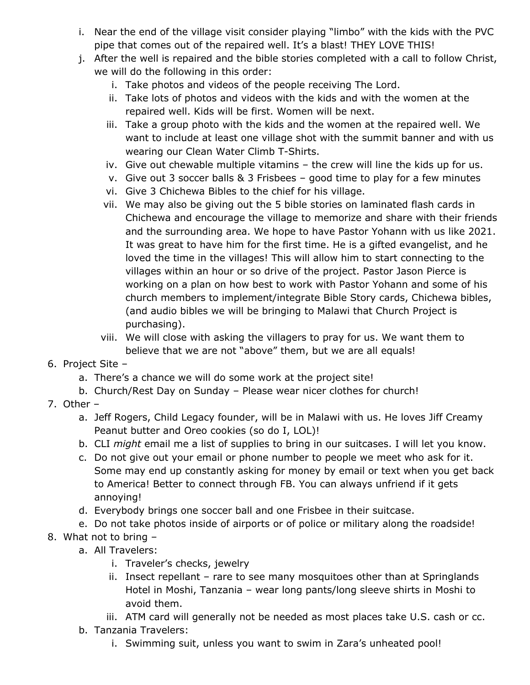- i. Near the end of the village visit consider playing "limbo" with the kids with the PVC pipe that comes out of the repaired well. It's a blast! THEY LOVE THIS!
- j. After the well is repaired and the bible stories completed with a call to follow Christ, we will do the following in this order:
	- i. Take photos and videos of the people receiving The Lord.
	- ii. Take lots of photos and videos with the kids and with the women at the repaired well. Kids will be first. Women will be next.
	- iii. Take a group photo with the kids and the women at the repaired well. We want to include at least one village shot with the summit banner and with us wearing our Clean Water Climb T-Shirts.
	- iv. Give out chewable multiple vitamins the crew will line the kids up for us.
	- v. Give out 3 soccer balls & 3 Frisbees good time to play for a few minutes
	- vi. Give 3 Chichewa Bibles to the chief for his village.
	- vii. We may also be giving out the 5 bible stories on laminated flash cards in Chichewa and encourage the village to memorize and share with their friends and the surrounding area. We hope to have Pastor Yohann with us like 2021. It was great to have him for the first time. He is a gifted evangelist, and he loved the time in the villages! This will allow him to start connecting to the villages within an hour or so drive of the project. Pastor Jason Pierce is working on a plan on how best to work with Pastor Yohann and some of his church members to implement/integrate Bible Story cards, Chichewa bibles, (and audio bibles we will be bringing to Malawi that Church Project is purchasing).
	- viii. We will close with asking the villagers to pray for us. We want them to believe that we are not "above" them, but we are all equals!
- 6. Project Site
	- a. There's a chance we will do some work at the project site!
	- b. Church/Rest Day on Sunday Please wear nicer clothes for church!
- 7. Other
	- a. Jeff Rogers, Child Legacy founder, will be in Malawi with us. He loves Jiff Creamy Peanut butter and Oreo cookies (so do I, LOL)!
	- b. CLI *might* email me a list of supplies to bring in our suitcases. I will let you know.
	- c. Do not give out your email or phone number to people we meet who ask for it. Some may end up constantly asking for money by email or text when you get back to America! Better to connect through FB. You can always unfriend if it gets annoying!
	- d. Everybody brings one soccer ball and one Frisbee in their suitcase.
	- e. Do not take photos inside of airports or of police or military along the roadside!
- 8. What not to bring
	- a. All Travelers:
		- i. Traveler's checks, jewelry
		- ii. Insect repellant rare to see many mosquitoes other than at Springlands Hotel in Moshi, Tanzania – wear long pants/long sleeve shirts in Moshi to avoid them.
		- iii. ATM card will generally not be needed as most places take U.S. cash or cc.
	- b. Tanzania Travelers:
		- i. Swimming suit, unless you want to swim in Zara's unheated pool!